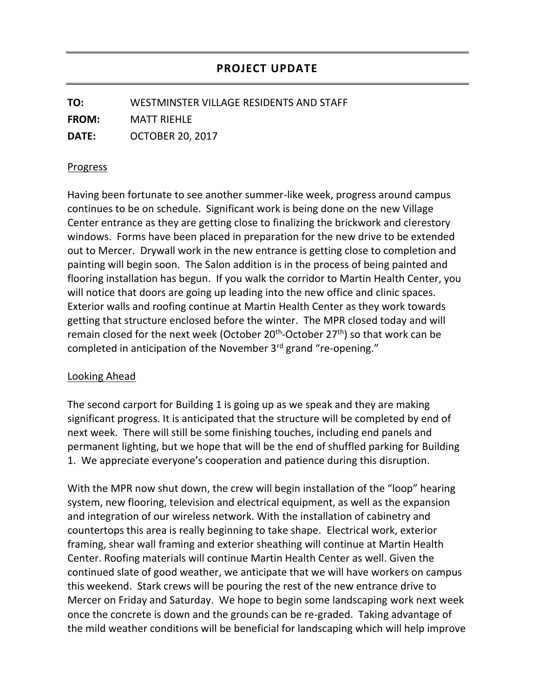**TO:** WESTMINSTER VILLAGE RESIDENTS AND STAFF **FROM:** MATT RIEHLE **DATE:** OCTOBER 20, 2017

## Progress

Having been fortunate to see another summer-like week, progress around campus continues to be on schedule. Significant work is being done on the new Village Center entrance as they are getting close to finalizing the brickwork and clerestory windows. Forms have been placed in preparation for the new drive to be extended out to Mercer. Drywall work in the new entrance is getting close to completion and painting will begin soon. The Salon addition is in the process of being painted and flooring installation has begun. If you walk the corridor to Martin Health Center, you will notice that doors are going up leading into the new office and clinic spaces. Exterior walls and roofing continue at Martin Health Center as they work towards getting that structure enclosed before the winter. The MPR closed today and will remain closed for the next week (October 20<sup>th</sup>-October 27<sup>th</sup>) so that work can be completed in anticipation of the November 3<sup>rd</sup> grand "re-opening."

## Looking Ahead

The second carport for Building 1 is going up as we speak and they are making significant progress. It is anticipated that the structure will be completed by end of next week. There will still be some finishing touches, including end panels and permanent lighting, but we hope that will be the end of shuffled parking for Building 1. We appreciate everyone's cooperation and patience during this disruption.

With the MPR now shut down, the crew will begin installation of the "loop" hearing system, new flooring, television and electrical equipment, as well as the expansion and integration of our wireless network. With the installation of cabinetry and countertops this area is really beginning to take shape. Electrical work, exterior framing, shear wall framing and exterior sheathing will continue at Martin Health Center. Roofing materials will continue Martin Health Center as well. Given the continued slate of good weather, we anticipate that we will have workers on campus this weekend. Stark crews will be pouring the rest of the new entrance drive to Mercer on Friday and Saturday. We hope to begin some landscaping work next week once the concrete is down and the grounds can be re-graded. Taking advantage of the mild weather conditions will be beneficial for landscaping which will help improve